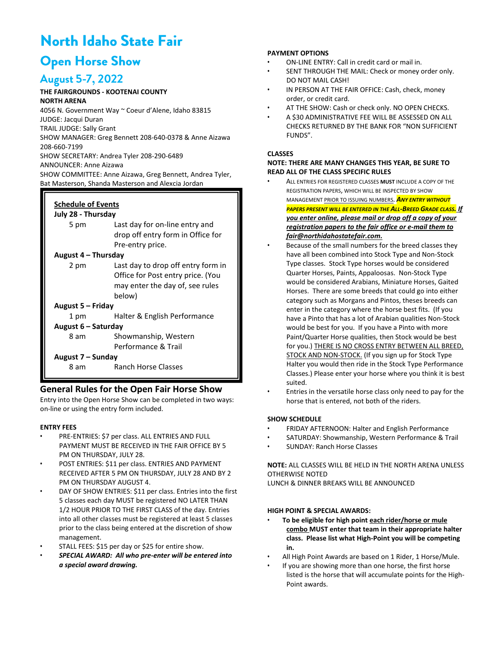# **North Idaho State Fair**

# **Open Horse Show**

# **August 5-7, 2022**

# **THE FAIRGROUNDS - KOOTENAI COUNTY**

**NORTH ARENA** 4056 N. Government Way ~ Coeur d'Alene, Idaho 83815 JUDGE: Jacqui Duran TRAIL JUDGE: Sally Grant SHOW MANAGER: Greg Bennett 208-640-0378 & Anne Aizawa 208-660-7199 SHOW SECRETARY: Andrea Tyler 208-290-6489 ANNOUNCER: Anne Aizawa SHOW COMMITTEE: Anne Aizawa, Greg Bennett, Andrea Tyler, Bat Masterson, Shanda Masterson and Alexcia Jordan

#### **Schedule of Events July 28 - Thursday**

| JUIV 28 - Thursday  |                                    |  |  |  |  |  |
|---------------------|------------------------------------|--|--|--|--|--|
| 5 pm                | Last day for on-line entry and     |  |  |  |  |  |
|                     | drop off entry form in Office for  |  |  |  |  |  |
|                     | Pre-entry price.                   |  |  |  |  |  |
| August 4 – Thursday |                                    |  |  |  |  |  |
| 2 pm                | Last day to drop off entry form in |  |  |  |  |  |
|                     | Office for Post entry price. (You  |  |  |  |  |  |
|                     | may enter the day of, see rules    |  |  |  |  |  |
|                     | below)                             |  |  |  |  |  |
| August 5 – Friday   |                                    |  |  |  |  |  |
| 1 pm                | Halter & English Performance       |  |  |  |  |  |
| August 6 – Saturday |                                    |  |  |  |  |  |
| 8 am                | Showmanship, Western               |  |  |  |  |  |
|                     | Performance & Trail                |  |  |  |  |  |
| August 7 – Sunday   |                                    |  |  |  |  |  |
| 8 am                | Ranch Horse Classes                |  |  |  |  |  |

# **General Rules for the Open Fair Horse Show**

Entry into the Open Horse Show can be completed in two ways: on-line or using the entry form included.

# **ENTRY FEES**

- PRE-ENTRIES: \$7 per class. ALL ENTRIES AND FULL PAYMENT MUST BE RECEIVED IN THE FAIR OFFICE BY 5 PM ON THURSDAY, JULY 28.
- POST ENTRIES: \$11 per class. ENTRIES AND PAYMENT RECEIVED AFTER 5 PM ON THURSDAY, JULY 28 AND BY 2 PM ON THURSDAY AUGUST 4
- DAY OF SHOW ENTRIES: \$11 per class. Entries into the first 5 classes each day MUST be registered NO LATER THAN 1/2 HOUR PRIOR TO THE FIRST CLASS of the day. Entries into all other classes must be registered at least 5 classes prior to the class being entered at the discretion of show management.
- STALL FEES: \$15 per day or \$25 for entire show.
- *SPECIAL AWARD: All who pre-enter will be entered into a special award drawing.*

# **PAYMENT OPTIONS**

- ON-LINE ENTRY: Call in credit card or mail in.
- SENT THROUGH THE MAIL: Check or money order only. DO NOT MAIL CASH!
- IN PERSON AT THE FAIR OFFICE: Cash, check, money order, or credit card.
- AT THE SHOW: Cash or check only. NO OPEN CHECKS.
- A \$30 ADMINISTRATIVE FEE WILL BE ASSESSED ON ALL CHECKS RETURNED BY THE BANK FOR "NON SUFFICIENT FUNDS".

# **CLASSES**

# **NOTE: THERE ARE MANY CHANGES THIS YEAR, BE SURE TO READ ALL OF THE CLASS SPECIFIC RULES**

- ALL ENTRIES FOR REGISTERED CLASSES **MUST** INCLUDE A COPY OF THE REGISTRATION PAPERS, WHICH WILL BE INSPECTED BY SHOW MANAGEMENT PRIOR TO ISSUING NUMBERS*. ANY ENTRY WITHOUT PAPERS PRESENT WILL BE ENTERED IN THE ALL-BREED GRADE CLASS. If you enter online, please mail or drop off a copy of your registration papers to the fair office or e-mail them to fair@northidahostatefair.com.*
- Because of the small numbers for the breed classes they have all been combined into Stock Type and Non-Stock Type classes. Stock Type horses would be considered Quarter Horses, Paints, Appaloosas. Non-Stock Type would be considered Arabians, Miniature Horses, Gaited Horses. There are some breeds that could go into either category such as Morgans and Pintos, theses breeds can enter in the category where the horse best fits. (If you have a Pinto that has a lot of Arabian qualities Non-Stock would be best for you. If you have a Pinto with more Paint/Quarter Horse qualities, then Stock would be best for you.) THERE IS NO CROSS ENTRY BETWEEN ALL BREED, STOCK AND NON-STOCK. (If you sign up for Stock Type Halter you would then ride in the Stock Type Performance Classes.) Please enter your horse where you think it is best suited.
- Entries in the versatile horse class only need to pay for the horse that is entered, not both of the riders.

# **SHOW SCHEDULE**

- FRIDAY AFTERNOON: Halter and English Performance
- SATURDAY: Showmanship, Western Performance & Trail
- SUNDAY: Ranch Horse Classes

**NOTE:** ALL CLASSES WILL BE HELD IN THE NORTH ARENA UNLESS OTHERWISE NOTED LUNCH & DINNER BREAKS WILL BE ANNOUNCED

# **HIGH POINT & SPECIAL AWARDS:**

- **To be eligible for high point each rider/horse or mule combo MUST enter that team in their appropriate halter class. Please list what High-Point you will be competing in.**
- All High Point Awards are based on 1 Rider, 1 Horse/Mule.
- If you are showing more than one horse, the first horse listed is the horse that will accumulate points for the High-Point awards.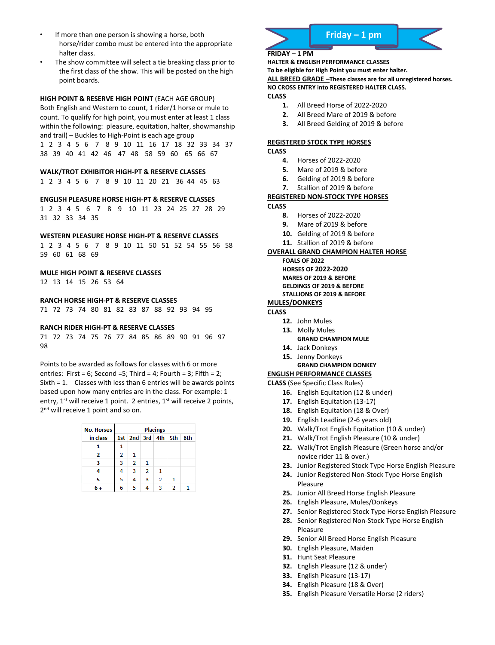- If more than one person is showing a horse, both horse/rider combo must be entered into the appropriate halter class.
- The show committee will select a tie breaking class prior to the first class of the show. This will be posted on the high point boards.

#### **HIGH POINT & RESERVE HIGH POINT** (EACH AGE GROUP)

Both English and Western to count, 1 rider/1 horse or mule to count. To qualify for high point, you must enter at least 1 class within the following: pleasure, equitation, halter, showmanship and trail) – Buckles to High-Point is each age group

1 2 3 4 5 6 7 8 9 10 11 16 17 18 32 33 34 37 38 39 40 41 42 46 47 48 58 59 60 65 66 67

#### **WALK/TROT EXHIBITOR HIGH-PT & RESERVE CLASSES**

1 2 3 4 5 6 7 8 9 10 11 20 21 36 44 45 63

#### **ENGLISH PLEASURE HORSE HIGH-PT & RESERVE CLASSES**

1 2 3 4 5 6 7 8 9 10 11 23 24 25 27 28 29 31 32 33 34 35

#### **WESTERN PLEASURE HORSE HIGH-PT & RESERVE CLASSES**

1 2 3 4 5 6 7 8 9 10 11 50 51 52 54 55 56 58 59 60 61 68 69

# **MULE HIGH POINT & RESERVE CLASSES**

12 13 14 15 26 53 64

## **RANCH HORSE HIGH-PT & RESERVE CLASSES**

71 72 73 74 80 81 82 83 87 88 92 93 94 95

#### **RANCH RIDER HIGH-PT & RESERVE CLASSES**

71 72 73 74 75 76 77 84 85 86 89 90 91 96 97 98

### Points to be awarded as follows for classes with 6 or more

entries: First = 6; Second =5; Third = 4; Fourth = 3; Fifth = 2; Sixth = 1. Classes with less than 6 entries will be awards points based upon how many entries are in the class. For example: 1 entry,  $1^{st}$  will receive 1 point. 2 entries,  $1^{st}$  will receive 2 points, 2<sup>nd</sup> will receive 1 point and so on.

| <b>No. Horses</b> | <b>Placings</b> |                       |                |   |            |     |  |  |
|-------------------|-----------------|-----------------------|----------------|---|------------|-----|--|--|
| in class          |                 | 1st   2nd   3rd   4th |                |   | <b>5th</b> | 6th |  |  |
|                   | 1               |                       |                |   |            |     |  |  |
| 2                 | 2               | 1                     |                |   |            |     |  |  |
| 3                 | 3               | $\overline{2}$        | 1              |   |            |     |  |  |
| 4                 | 4               | 3                     | $\overline{2}$ | 1 |            |     |  |  |
| 5                 | 5               | 4                     | 3              | 2 | 1          |     |  |  |
| 6+                | 6               | 5                     |                |   | 2          |     |  |  |





# **FRIDAY – 1 PM**

**HALTER & ENGLISH PERFORMANCE CLASSES To be eligible for High Point you must enter halter. ALL BREED GRADE –These classes are for all unregistered horses. NO CROSS ENTRY into REGISTERED HALTER CLASS. CLASS**

- **1.** All Breed Horse of 2022-2020
- **2.** All Breed Mare of 2019 & before
- **3.** All Breed Gelding of 2019 & before

## **REGISTERED STOCK TYPE HORSES**

**CLASS**

- **4.** Horses of 2022-2020
- **5.** Mare of 2019 & before
- **6.** Gelding of 2019 & before
- **7.** Stallion of 2019 & before

#### **REGISTERED NON-STOCK TYPE HORSES CLASS**

- **8.** Horses of 2022-2020
- **9.** Mare of 2019 & before
- **10.** Gelding of 2019 & before
- **11.** Stallion of 2019 & before

# **OVERALL GRAND CHAMPION HALTER HORSE**

**FOALS OF 2022 HORSES OF 2022-2020 MARES OF 2019 & BEFORE GELDINGS OF 2019 & BEFORE** 

#### **STALLIONS OF 2019 & BEFORE**

# **MULES/DONKEYS**

- **CLASS**
	- **12.** John Mules
	- **13.** Molly Mules
	- **GRAND CHAMPION MULE 14.** Jack Donkeys
	- **15.** Jenny Donkeys
	- **GRAND CHAMPION DONKEY**

# **ENGLISH PERFORMANCE CLASSES**

**CLASS** (See Specific Class Rules)

- **16.** English Equitation (12 & under)
- **17.** English Equitation (13-17)
- **18.** English Equitation (18 & Over)
- **19.** English Leadline (2-6 years old)
- **20.** Walk/Trot English Equitation (10 & under)
- **21.** Walk/Trot English Pleasure (10 & under)
- **22.** Walk/Trot English Pleasure (Green horse and/or novice rider 11 & over.)
- **23.** Junior Registered Stock Type Horse English Pleasure
- **24.** Junior Registered Non-Stock Type Horse English Pleasure
- **25.** Junior All Breed Horse English Pleasure
- **26.** English Pleasure, Mules/Donkeys
- **27.** Senior Registered Stock Type Horse English Pleasure
- **28.** Senior Registered Non-Stock Type Horse English Pleasure
- **29.** Senior All Breed Horse English Pleasure
- **30.** English Pleasure, Maiden
- **31.** Hunt Seat Pleasure
- **32.** English Pleasure (12 & under)
- **33.** English Pleasure (13-17)
- **34.** English Pleasure (18 & Over)
- **35.** English Pleasure Versatile Horse (2 riders)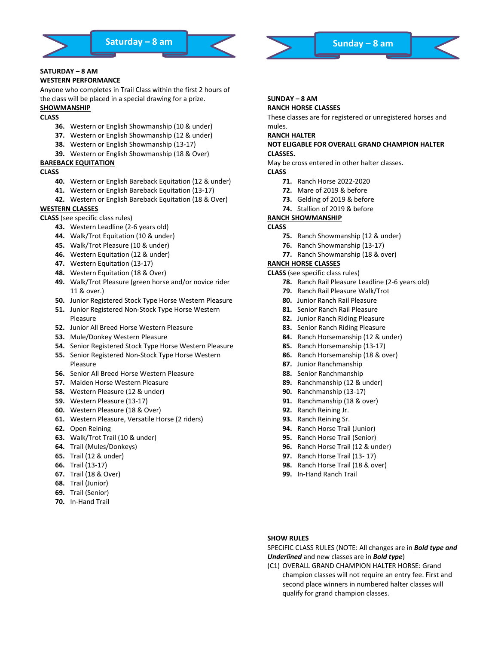

# **SATURDAY – 8 AM**

#### **WESTERN PERFORMANCE**

Anyone who completes in Trail Class within the first 2 hours of the class will be placed in a special drawing for a prize.

# **SHOWMANSHIP**

# **CLASS**

- **36.** Western or English Showmanship (10 & under)
- **37.** Western or English Showmanship (12 & under)
- **38.** Western or English Showmanship (13-17)
- **39.** Western or English Showmanship (18 & Over)

# **BAREBACK EQUITATION**

# **CLASS**

- **40.** Western or English Bareback Equitation (12 & under)
- **41.** Western or English Bareback Equitation (13-17)
- **42.** Western or English Bareback Equitation (18 & Over)

# **WESTERN CLASSES**

**CLASS** (see specific class rules)

- **43.** Western Leadline (2-6 years old)
- **44.** Walk/Trot Equitation (10 & under)
- **45.** Walk/Trot Pleasure (10 & under)
- **46.** Western Equitation (12 & under)
- **47.** Western Equitation (13-17)
- **48.** Western Equitation (18 & Over)
- **49.** Walk/Trot Pleasure (green horse and/or novice rider 11 & over.)
- **50.** Junior Registered Stock Type Horse Western Pleasure
- **51.** Junior Registered Non-Stock Type Horse Western Pleasure
- **52.** Junior All Breed Horse Western Pleasure
- **53.** Mule/Donkey Western Pleasure
- **54.** Senior Registered Stock Type Horse Western Pleasure
- **55.** Senior Registered Non-Stock Type Horse Western Pleasure
- **56.** Senior All Breed Horse Western Pleasure
- **57.** Maiden Horse Western Pleasure
- **58.** Western Pleasure (12 & under)
- **59.** Western Pleasure (13-17)
- **60.** Western Pleasure (18 & Over)
- **61.** Western Pleasure, Versatile Horse (2 riders)
- **62.** Open Reining
- **63.** Walk/Trot Trail (10 & under)
- **64.** Trail (Mules/Donkeys)
- **65.** Trail (12 & under)
- **66.** Trail (13-17)
- **67.** Trail (18 & Over)
- **68.** Trail (Junior)
- **69.** Trail (Senior)
- **70.** In-Hand Trail



# **SUNDAY – 8 AM**

# **RANCH HORSE CLASSES**

These classes are for registered or unregistered horses and mules.

# **RANCH HALTER**

#### **NOT ELIGABLE FOR OVERALL GRAND CHAMPION HALTER CLASSES.**

May be cross entered in other halter classes.

- **CLASS**
	- **71.** Ranch Horse 2022-2020
	- **72.** Mare of 2019 & before
	- **73.** Gelding of 2019 & before
	- **74.** Stallion of 2019 & before

### **RANCH SHOWMANSHIP**

#### **CLASS**

- **75.** Ranch Showmanship (12 & under)
- **76.** Ranch Showmanship (13-17)
- **77.** Ranch Showmanship (18 & over)

# **RANCH HORSE CLASSES**

**CLASS** (see specific class rules)

- **78.** Ranch Rail Pleasure Leadline (2-6 years old)
- **79.** Ranch Rail Pleasure Walk/Trot
- **80.** Junior Ranch Rail Pleasure
- **81.** Senior Ranch Rail Pleasure
- **82.** Junior Ranch Riding Pleasure
- **83.** Senior Ranch Riding Pleasure
- **84.** Ranch Horsemanship (12 & under)
- **85.** Ranch Horsemanship (13-17)
- **86.** Ranch Horsemanship (18 & over)
- **87.** Junior Ranchmanship
- **88.** Senior Ranchmanship
- **89.** Ranchmanship (12 & under)
- **90.** Ranchmanship (13-17)
- **91.** Ranchmanship (18 & over)
- **92.** Ranch Reining Jr.
- **93.** Ranch Reining Sr.
- **94.** Ranch Horse Trail (Junior)
- **95.** Ranch Horse Trail (Senior)
- **96.** Ranch Horse Trail (12 & under)
- **97.** Ranch Horse Trail (13- 17)
- **98.** Ranch Horse Trail (18 & over)
- **99.** In-Hand Ranch Trail

# **SHOW RULES**

#### SPECIFIC CLASS RULES (NOTE: All changes are in *Bold type and Underlined* and new classes are in *Bold type*)

(C1) OVERALL GRAND CHAMPION HALTER HORSE: Grand champion classes will not require an entry fee. First and second place winners in numbered halter classes will qualify for grand champion classes.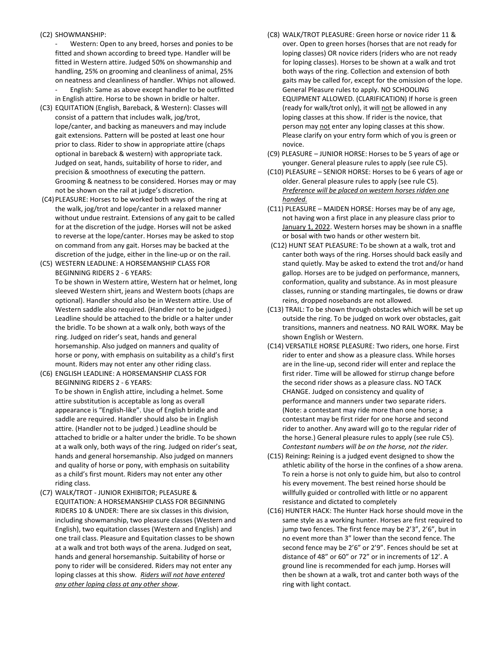# (C2) SHOWMANSHIP:

Western: Open to any breed, horses and ponies to be fitted and shown according to breed type. Handler will be fitted in Western attire. Judged 50% on showmanship and handling, 25% on grooming and cleanliness of animal, 25% on neatness and cleanliness of handler. Whips not allowed.

English: Same as above except handler to be outfitted in English attire. Horse to be shown in bridle or halter.

- (C3) EQUITATION (English, Bareback, & Western): Classes will consist of a pattern that includes walk, jog/trot, lope/canter, and backing as maneuvers and may include gait extensions. Pattern will be posted at least one hour prior to class. Rider to show in appropriate attire (chaps optional in bareback & western) with appropriate tack. Judged on seat, hands, suitability of horse to rider, and precision & smoothness of executing the pattern. Grooming & neatness to be considered. Horses may or may not be shown on the rail at judge's discretion.
- (C4)PLEASURE: Horses to be worked both ways of the ring at the walk, jog/trot and lope/canter in a relaxed manner without undue restraint. Extensions of any gait to be called for at the discretion of the judge. Horses will not be asked to reverse at the lope/canter. Horses may be asked to stop on command from any gait. Horses may be backed at the discretion of the judge, either in the line-up or on the rail.

(C5) WESTERN LEADLINE: A HORSEMANSHIP CLASS FOR BEGINNING RIDERS 2 - 6 YEARS: To be shown in Western attire, Western hat or helmet, long sleeved Western shirt, jeans and Western boots (chaps are optional). Handler should also be in Western attire. Use of Western saddle also required. (Handler not to be judged.) Leadline should be attached to the bridle or a halter under the bridle. To be shown at a walk only, both ways of the ring. Judged on rider's seat, hands and general horsemanship. Also judged on manners and quality of horse or pony, with emphasis on suitability as a child's first mount. Riders may not enter any other riding class.

(C6) ENGLISH LEADLINE: A HORSEMANSHIP CLASS FOR BEGINNING RIDERS 2 - 6 YEARS: To be shown in English attire, including a helmet. Some attire substitution is acceptable as long as overall appearance is "English-like". Use of English bridle and saddle are required. Handler should also be in English attire. (Handler not to be judged.) Leadline should be attached to bridle or a halter under the bridle. To be shown at a walk only, both ways of the ring. Judged on rider's seat, hands and general horsemanship. Also judged on manners and quality of horse or pony, with emphasis on suitability as a child's first mount. Riders may not enter any other riding class.

(C7) WALK/TROT - JUNIOR EXHIBITOR; PLEASURE & EQUITATION: A HORSEMANSHIP CLASS FOR BEGINNING RIDERS 10 & UNDER: There are six classes in this division, including showmanship, two pleasure classes (Western and English), two equitation classes (Western and English) and one trail class. Pleasure and Equitation classes to be shown at a walk and trot both ways of the arena. Judged on seat, hands and general horsemanship. Suitability of horse or pony to rider will be considered. Riders may not enter any loping classes at this show*. Riders will not have entered any other loping class at any other show*.

- (C8) WALK/TROT PLEASURE: Green horse or novice rider 11 & over. Open to green horses (horses that are not ready for loping classes) OR novice riders (riders who are not ready for loping classes). Horses to be shown at a walk and trot both ways of the ring. Collection and extension of both gaits may be called for, except for the omission of the lope. General Pleasure rules to apply. NO SCHOOLING EQUIPMENT ALLOWED. (CLARIFICATION) If horse is green (ready for walk/trot only), it will not be allowed in any loping classes at this show. If rider is the novice, that person may not enter any loping classes at this show. Please clarify on your entry form which of you is green or novice.
- (C9) PLEASURE JUNIOR HORSE: Horses to be 5 years of age or younger. General pleasure rules to apply (see rule C5).
- (C10) PLEASURE SENIOR HORSE: Horses to be 6 years of age or older. General pleasure rules to apply (see rule C5). *Preference will be placed on western horses ridden one handed.*
- (C11) PLEASURE MAIDEN HORSE: Horses may be of any age, not having won a first place in any pleasure class prior to January 1, 2022. Western horses may be shown in a snaffle or bosal with two hands or other western bit.
- (C12) HUNT SEAT PLEASURE: To be shown at a walk, trot and canter both ways of the ring. Horses should back easily and stand quietly. May be asked to extend the trot and/or hand gallop. Horses are to be judged on performance, manners, conformation, quality and substance. As in most pleasure classes, running or standing martingales, tie downs or draw reins, dropped nosebands are not allowed.
- (C13) TRAIL: To be shown through obstacles which will be set up outside the ring. To be judged on work over obstacles, gait transitions, manners and neatness. NO RAIL WORK. May be shown English or Western.
- (C14) VERSATILE HORSE PLEASURE: Two riders, one horse. First rider to enter and show as a pleasure class. While horses are in the line-up, second rider will enter and replace the first rider. Time will be allowed for stirrup change before the second rider shows as a pleasure class. NO TACK CHANGE. Judged on consistency and quality of performance and manners under two separate riders. (Note: a contestant may ride more than one horse; a contestant may be first rider for one horse and second rider to another. Any award will go to the regular rider of the horse.) General pleasure rules to apply (see rule C5). *Contestant numbers will be on the horse, not the rider.*
- (C15) Reining**:** Reining is a judged event designed to show the athletic ability of the horse in the confines of a show arena. To rein a horse is not only to guide him, but also to control his every movement. The best reined horse should be willfully guided or controlled with little or no apparent resistance and dictated to completely
- (C16) HUNTER HACK: The Hunter Hack horse should move in the same style as a working hunter. Horses are first required to jump two fences. The first fence may be 2'3", 2'6", but in no event more than 3" lower than the second fence. The second fence may be 2'6" or 2'9". Fences should be set at distance of 48" or 60" or 72" or in increments of 12'. A ground line is recommended for each jump. Horses will then be shown at a walk, trot and canter both ways of the ring with light contact.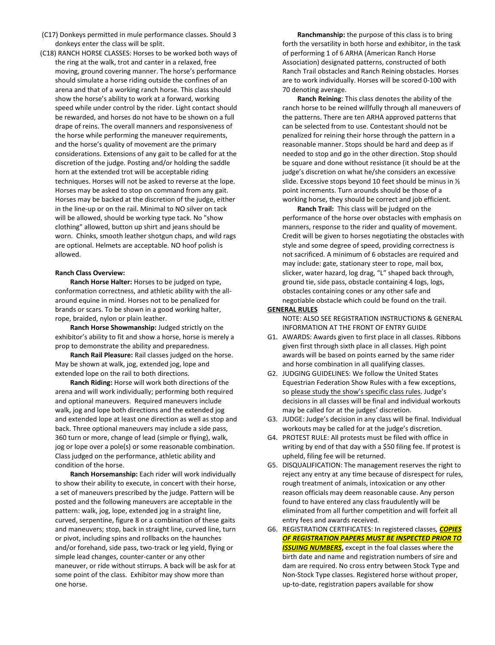- (C17) Donkeys permitted in mule performance classes. Should 3 donkeys enter the class will be split.
- (C18) RANCH HORSE CLASSES: Horses to be worked both ways of the ring at the walk, trot and canter in a relaxed, free moving, ground covering manner. The horse's performance should simulate a horse riding outside the confines of an arena and that of a working ranch horse. This class should show the horse's ability to work at a forward, working speed while under control by the rider. Light contact should be rewarded, and horses do not have to be shown on a full drape of reins. The overall manners and responsiveness of the horse while performing the maneuver requirements, and the horse's quality of movement are the primary considerations. Extensions of any gait to be called for at the discretion of the judge. Posting and/or holding the saddle horn at the extended trot will be acceptable riding techniques. Horses will not be asked to reverse at the lope. Horses may be asked to stop on command from any gait. Horses may be backed at the discretion of the judge, either in the line-up or on the rail. Minimal to NO silver on tack will be allowed, should be working type tack. No "show clothing" allowed, button up shirt and jeans should be worn. Chinks, smooth leather shotgun chaps, and wild rags are optional. Helmets are acceptable. NO hoof polish is allowed.

#### **Ranch Class Overview:**

**Ranch Horse Halter:** Horses to be judged on type, conformation correctness, and athletic ability with the allaround equine in mind. Horses not to be penalized for brands or scars. To be shown in a good working halter, rope, braided, nylon or plain leather.

**Ranch Horse Showmanship:** Judged strictly on the exhibitor's ability to fit and show a horse, horse is merely a prop to demonstrate the ability and preparedness.

**Ranch Rail Pleasure:** Rail classes judged on the horse. May be shown at walk, jog, extended jog, lope and extended lope on the rail to both directions.

**Ranch Riding:** Horse will work both directions of the arena and will work individually; performing both required and optional maneuvers. Required maneuvers include walk, jog and lope both directions and the extended jog and extended lope at least one direction as well as stop and back. Three optional maneuvers may include a side pass, 360 turn or more, change of lead (simple or flying), walk, jog or lope over a pole(s) or some reasonable combination. Class judged on the performance, athletic ability and condition of the horse.

**Ranch Horsemanship:** Each rider will work individually to show their ability to execute, in concert with their horse, a set of maneuvers prescribed by the judge. Pattern will be posted and the following maneuvers are acceptable in the pattern: walk, jog, lope, extended jog in a straight line, curved, serpentine, figure 8 or a combination of these gaits and maneuvers; stop, back in straight line, curved line, turn or pivot, including spins and rollbacks on the haunches and/or forehand, side pass, two-track or leg yield, flying or simple lead changes, counter-canter or any other maneuver, or ride without stirrups. A back will be ask for at some point of the class. Exhibitor may show more than one horse.

**Ranchmanship:** the purpose of this class is to bring forth the versatility in both horse and exhibitor, in the task of performing 1 of 6 ARHA (American Ranch Horse Association) designated patterns, constructed of both Ranch Trail obstacles and Ranch Reining obstacles. Horses are to work individually. Horses will be scored 0-100 with 70 denoting average.

**Ranch Reining**: This class denotes the ability of the ranch horse to be reined willfully through all maneuvers of the patterns. There are ten ARHA approved patterns that can be selected from to use. Contestant should not be penalized for reining their horse through the pattern in a reasonable manner. Stops should be hard and deep as if needed to stop and go in the other direction. Stop should be square and done without resistance (it should be at the judge's discretion on what he/she considers an excessive slide. Excessive stops beyond 10 feet should be minus in ½ point increments. Turn arounds should be those of a working horse, they should be correct and job efficient.

**Ranch Trail:** This class will be judged on the performance of the horse over obstacles with emphasis on manners, response to the rider and quality of movement. Credit will be given to horses negotiating the obstacles with style and some degree of speed, providing correctness is not sacrificed. A minimum of 6 obstacles are required and may include: gate, stationary steer to rope, mail box, slicker, water hazard, log drag, "L" shaped back through, ground tie, side pass, obstacle containing 4 logs, logs, obstacles containing cones or any other safe and negotiable obstacle which could be found on the trail.

#### **GENERAL RULES**

NOTE: ALSO SEE REGISTRATION INSTRUCTIONS & GENERAL INFORMATION AT THE FRONT OF ENTRY GUIDE

- G1. AWARDS: Awards given to first place in all classes. Ribbons given first through sixth place in all classes. High point awards will be based on points earned by the same rider and horse combination in all qualifying classes.
- G2. JUDGING GUIDELINES: We follow the United States Equestrian Federation Show Rules with a few exceptions, so please study the show's specific class rules. Judge's decisions in all classes will be final and individual workouts may be called for at the judges' discretion.
- G3. JUDGE: Judge's decision in any class will be final. Individual workouts may be called for at the judge's discretion.
- G4. PROTEST RULE: All protests must be filed with office in writing by end of that day with a \$50 filing fee. If protest is upheld, filing fee will be returned.
- G5. DISQUALIFICATION: The management reserves the right to reject any entry at any time because of disrespect for rules, rough treatment of animals, intoxication or any other reason officials may deem reasonable cause. Any person found to have entered any class fraudulently will be eliminated from all further competition and will forfeit all entry fees and awards received.
- G6. REGISTRATION CERTIFICATES: In registered classes*, COPIES OF REGISTRATION PAPERS MUST BE INSPECTED PRIOR TO*  **ISSUING NUMBERS**, except in the foal classes where the birth date and name and registration numbers of sire and dam are required. No cross entry between Stock Type and Non-Stock Type classes. Registered horse without proper, up-to-date, registration papers available for show